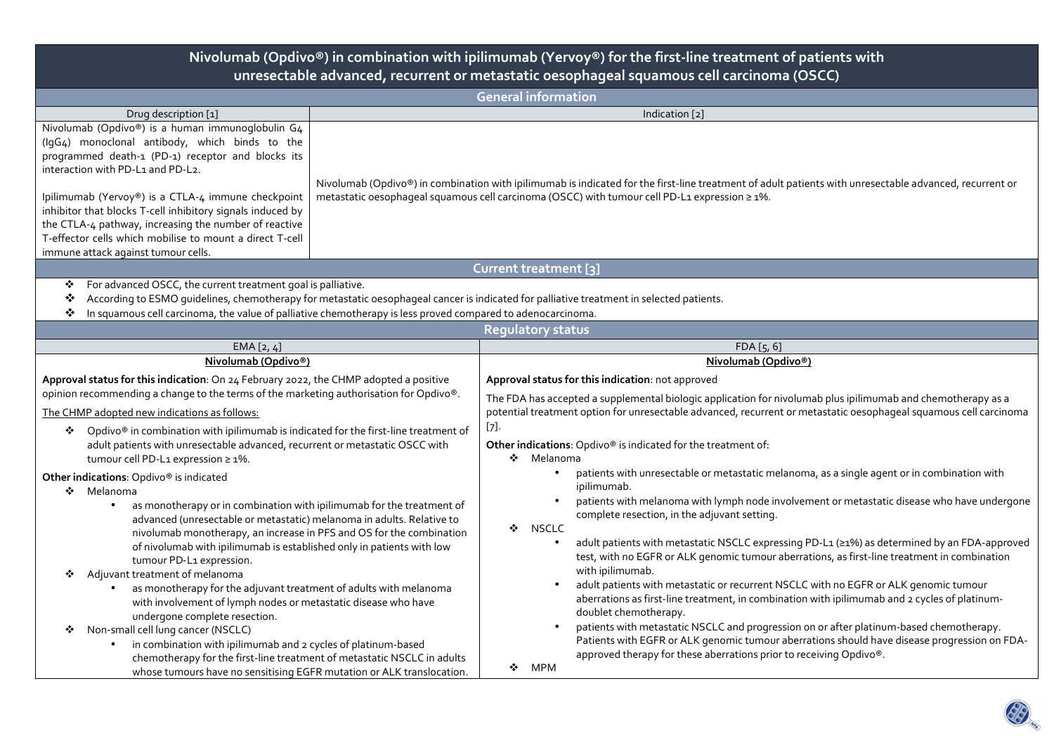#### **Nivolumab (Opdivo®) in combination with ipilimumab (Yervoy®) for the first-line treatment of patients with unresectable advanced, recurrent or metastatic oesophageal squamous cell carcinoma (OSCC) General information** Drug description [1] **Indication [2]** Indication [2] **Indication Community Community Community Community Community Community Community Community Community Community Community Community Community Community Community Communi** Nivolumab (Opdivo®) is a human immunoglobulin G4 (IgG4) monoclonal antibody, which binds to the programmed death-1 (PD-1) receptor and blocks its interaction with PD-L1 and PD-L2. Ipilimumab (Yervoy®) is a CTLA-4 immune checkpoint inhibitor that blocks T-cell inhibitory signals induced by the CTLA-4 pathway, increasing the number of reactive T-effector cells which mobilise to mount a direct T-cell immune attack against tumour cells. Nivolumab (Opdivo®) in combination with ipilimumab is indicated for the first-line treatment of adult patients with unresectable advanced, recurrent or metastatic oesophageal squamous cell carcinoma (OSCC) with tumour cell PD-L1 expression ≥ 1%. **Current treatment [3]** $\bullet$  For advanced OSCC, the current treatment goal is palliative. ❖ According to ESMO guidelines, chemotherapy for metastatic oesophageal cancer is indicated for palliative treatment in selected patients. In squamous cell carcinoma, the value of palliative chemotherapy is less proved compared to adenocarcinoma. **Regulatory status**EMA [2, 4] FDA [5, 6] FOA [5, 6] FOA [5, 6] FOA [5, 6] FOA [5, 6] FOA [5, 6] FOA [5, 6] FOA [5, 6] FOA [5, 6] **Nivolumab (Opdivo®) Approval status for this indication**: On 24 February 2022, the CHMP adopted a positive opinion recommending a change to the terms of the marketing authorisation for Opdivo®. The CHMP adopted new indications as follows: ◆ Opdivo® in combination with ipilimumab is indicated for the first-line treatment of<br>adult patients with unsecostable advanced, securent or materials OSCC with adult patients with unresectable advanced, recurrent or metastatic OSCC with tumour cell PD-L1 expression ≥ 1%. **Other indications**: Opdivo® is indicated ❖ Melanoma • as monotherapy or in combination with ipilimumab for the treatment of advanced (unresectable or metastatic) melanoma in adults. Relative to nivolumab monotherapy, an increase in PFS and OS for the combination of nivolumab with ipilimumab is established only in patients with low tumour PD-L1 expression. ❖ Adjuvant treatment of melanoma • as monotherapy for the adjuvant treatment of adults with melanoma with involvement of lymph nodes or metastatic disease who have undergone complete resection. ◆ Non-small cell lung cancer (NSCLC) • in combination with ipilimumab and 2 cycles of platinum-based chemotherapy for the first-line treatment of metastatic NSCLC in adults **Nivolumab (Opdivo®) Approval status for this indication**: not approved The FDA has accepted a supplemental biologic application for nivolumab plus ipilimumab and chemotherapy as a potential treatment option for unresectable advanced, recurrent or metastatic oesophageal squamous cell carcinoma [7]. **Other indications**: Opdivo® is indicated for the treatment of: ❖ Melanoma • patients with unresectable or metastatic melanoma, as a single agent or in combination with ipilimumab. • patients with melanoma with lymph node involvement or metastatic disease who have undergone complete resection, in the adjuvant setting. ❖ NSCLC • adult patients with metastatic NSCLC expressing PD-L1 (≥1%) as determined by an FDA-approved test, with no EGFR or ALK genomic tumour aberrations, as first-line treatment in combination with ipilimumab. • adult patients with metastatic or recurrent NSCLC with no EGFR or ALK genomic tumour aberrations as first-line treatment, in combination with ipilimumab and 2 cycles of platinumdoublet chemotherapy. • patients with metastatic NSCLC and progression on or after platinum-based chemotherapy. Patients with EGFR or ALK genomic tumour aberrations should have disease progression on FDAapproved therapy for these aberrations prior to receiving Opdivo®.

 $\bullet$  MPM

whose tumours have no sensitising EGFR mutation or ALK translocation.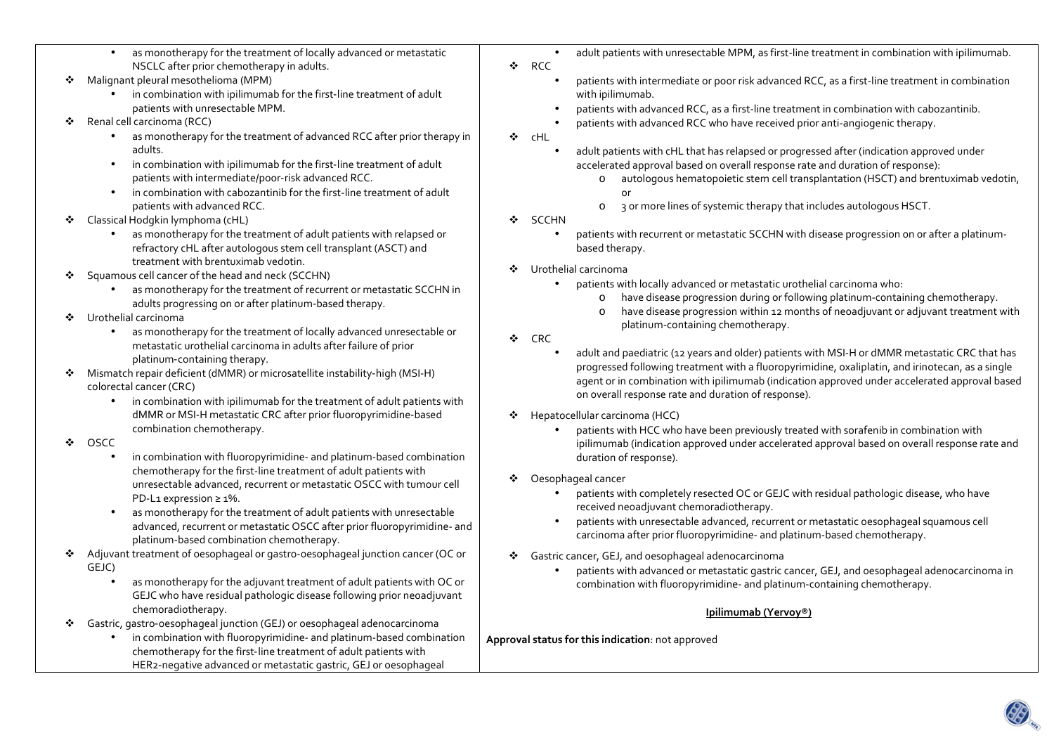- • as monotherapy for the treatment of locally advanced or metastatic NSCLC after prior chemotherapy in adults.
- ◆ Malignant pleural mesothelioma (MPM)
	- $\bullet$  in combination with ipilimumab for the first-line treatment of adult patients with unresectable MPM.
- ❖ Renal cell carcinoma (RCC)
	- • as monotherapy for the treatment of advanced RCC after prior therapy in adults.
	- •in combination with ipilimumab for the first-line treatment of adult patients with intermediate/poor-risk advanced RCC.
	- • in combination with cabozantinib for the first-line treatment of adult patients with advanced RCC.
- ٠ Classical Hodgkin lymphoma (cHL)
	- as monotherapy for the treatment of adult patients with relapsed or refractory cHL after autologous stem cell transplant (ASCT) and treatment with brentuximab vedotin.
- ÷ Squamous cell cancer of the head and neck (SCCHN)
	- as monotherapy for the treatment of recurrent or metastatic SCCHN in adults progressing on or after platinum-based therapy.
- $\mathcal{L}_{\mathcal{C}}$  Urothelial carcinoma
	- as monotherapy for the treatment of locally advanced unresectable or metastatic urothelial carcinoma in adults after failure of prior platinum‑containing therapy.
- ◆ Mismatch repair deficient (dMMR) or microsatellite instability-high (MSI-H)<br>
colorectal cancer (CBC) colorectal cancer (CRC)
	- in combination with ipilimumab for the treatment of adult patients with dMMR or MSI-H metastatic CRC after prior fluoropyrimidine‑based combination chemotherapy.
- $\mathcal{L}_{\mathcal{C}}$  OSCC
	- • in combination with fluoropyrimidine- and platinum-based combination chemotherapy for the first-line treatment of adult patients with unresectable advanced, recurrent or metastatic OSCC with tumour cell PD-L1 expression ≥ 1%.
	- • as monotherapy for the treatment of adult patients with unresectable advanced, recurrent or metastatic OSCC after prior fluoropyrimidine- and platinum-based combination chemotherapy.
- $\mathcal{L}_{\mathcal{C}}$  Adjuvant treatment of oesophageal or gastro-oesophageal junction cancer (OC or GEJC)
	- • as monotherapy for the adjuvant treatment of adult patients with OC or GEJC who have residual pathologic disease following prior neoadjuvant chemoradiotherapy.
- $\bullet$  Gastric, gastro‑oesophageal junction (GEJ) or oesophageal adenocarcinoma
	- in combination with fluoropyrimidine- and platinum-based combination chemotherapy for the first‑line treatment of adult patients with HER2‑negative advanced or metastatic gastric, GEJ or oesophageal
- •adult patients with unresectable MPM, as first-line treatment in combination with ipilimumab.
- ❖ RCC
	- • patients with intermediate or poor risk advanced RCC, as a first-line treatment in combination with ipilimumab.
	- •patients with advanced RCC, as a first-line treatment in combination with cabozantinib.
	- •patients with advanced RCC who have received prior anti-angiogenic therapy.
- ❖ cHL
	- • adult patients with cHL that has relapsed or progressed after (indication approved under accelerated approval based on overall response rate and duration of response):
		- o autologous hematopoietic stem cell transplantation (HSCT) and brentuximab vedotin, or
		- o 3 or more lines of systemic therapy that includes autologous HSCT.
- $\mathcal{L}_{\mathcal{C}}$  SCCHN
	- • patients with recurrent or metastatic SCCHN with disease progression on or after a platinumbased therapy.
- ❖ Urothelial carcinoma
	- • patients with locally advanced or metastatic urothelial carcinoma who:
		- ohave disease progression during or following platinum-containing chemotherapy.
		- ohave disease progression within 12 months of neoadjuvant or adjuvant treatment with platinum-containing chemotherapy.
- $\mathcal{L}_{\mathcal{F}}$  CRC
	- • adult and paediatric (12 years and older) patients with MSI-H or dMMR metastatic CRC that has progressed following treatment with a fluoropyrimidine, oxaliplatin, and irinotecan, as a single agent or in combination with ipilimumab (indication approved under accelerated approval based on overall response rate and duration of response).
- $\mathcal{L}$  Hepatocellular carcinoma (HCC)
	- • patients with HCC who have been previously treated with sorafenib in combination with ipilimumab (indication approved under accelerated approval based on overall response rate and duration of response).
- ❖ Oesophageal cancer
	- • patients with completely resected OC or GEJC with residual pathologic disease, who have received neoadjuvant chemoradiotherapy.
	- • patients with unresectable advanced, recurrent or metastatic oesophageal squamous cell carcinoma after prior fluoropyrimidine- and platinum-based chemotherapy.
- ❖ Gastric cancer, GEJ, and oesophageal adenocarcinoma
	- • patients with advanced or metastatic gastric cancer, GEJ, and oesophageal adenocarcinoma in combination with fluoropyrimidine- and platinum-containing chemotherapy.

# **Ipilimumab (Yervoy®)**

**Approval status for this indication**: not approved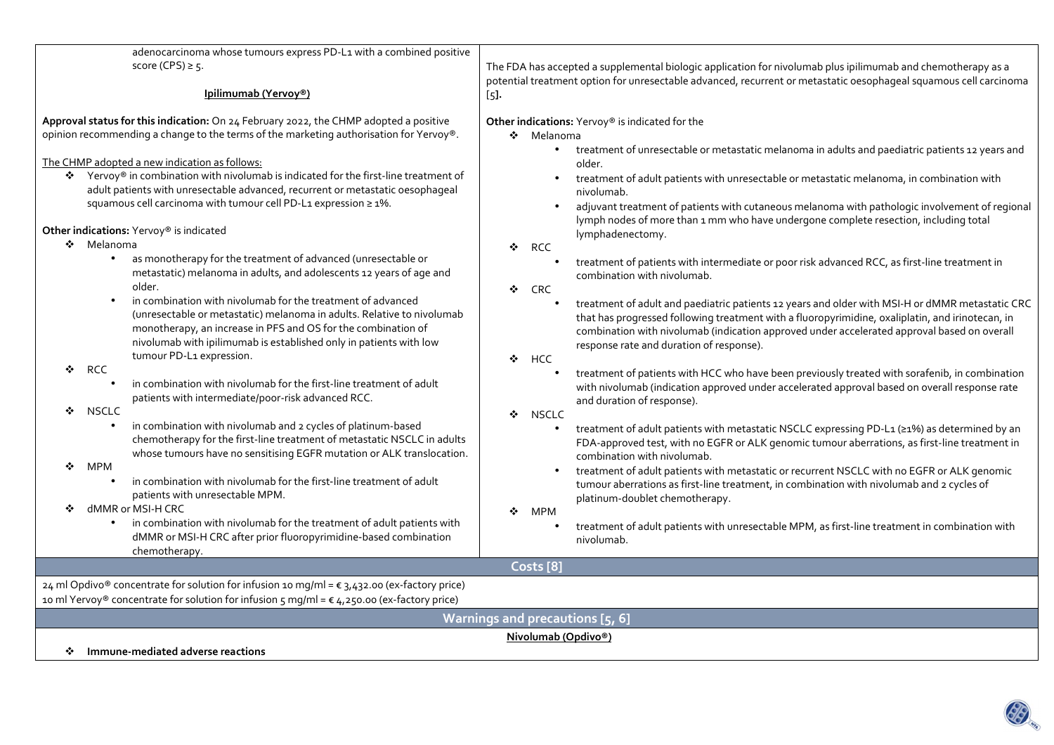| adenocarcinoma whose tumours express PD-L1 with a combined positive<br>score (CPS) $\geq$ 5.                                                                                                                                                                                                                                | The FDA has accepted a supplemental biologic application for nivolumab plus ipilimumab and chemotherapy as a                                                                                                                                                                                                                                                      |  |  |  |  |  |  |
|-----------------------------------------------------------------------------------------------------------------------------------------------------------------------------------------------------------------------------------------------------------------------------------------------------------------------------|-------------------------------------------------------------------------------------------------------------------------------------------------------------------------------------------------------------------------------------------------------------------------------------------------------------------------------------------------------------------|--|--|--|--|--|--|
|                                                                                                                                                                                                                                                                                                                             | potential treatment option for unresectable advanced, recurrent or metastatic oesophageal squamous cell carcinoma                                                                                                                                                                                                                                                 |  |  |  |  |  |  |
| Ipilimumab (Yervoy <sup>®</sup> )                                                                                                                                                                                                                                                                                           | $[5]$ .                                                                                                                                                                                                                                                                                                                                                           |  |  |  |  |  |  |
| Approval status for this indication: On 24 February 2022, the CHMP adopted a positive<br>opinion recommending a change to the terms of the marketing authorisation for Yervoy®.<br>The CHMP adopted a new indication as follows:<br>Yervoy® in combination with nivolumab is indicated for the first-line treatment of<br>❖ | Other indications: Yervoy® is indicated for the<br>❖ Melanoma<br>treatment of unresectable or metastatic melanoma in adults and paediatric patients 12 years and<br>older.<br>treatment of adult patients with unresectable or metastatic melanoma, in combination with                                                                                           |  |  |  |  |  |  |
| adult patients with unresectable advanced, recurrent or metastatic oesophageal<br>squamous cell carcinoma with tumour cell PD-L1 expression ≥ 1%.<br>Other indications: Yervoy® is indicated<br>❖ Melanoma                                                                                                                  | nivolumab.<br>adjuvant treatment of patients with cutaneous melanoma with pathologic involvement of regional<br>lymph nodes of more than 1 mm who have undergone complete resection, including total<br>lymphadenectomy.                                                                                                                                          |  |  |  |  |  |  |
| as monotherapy for the treatment of advanced (unresectable or<br>$\bullet$<br>metastatic) melanoma in adults, and adolescents 12 years of age and<br>older.<br>in combination with nivolumab for the treatment of advanced<br>$\bullet$                                                                                     | <b>RCC</b><br>❖<br>treatment of patients with intermediate or poor risk advanced RCC, as first-line treatment in<br>combination with nivolumab.<br>❖<br><b>CRC</b>                                                                                                                                                                                                |  |  |  |  |  |  |
| (unresectable or metastatic) melanoma in adults. Relative to nivolumab<br>monotherapy, an increase in PFS and OS for the combination of<br>nivolumab with ipilimumab is established only in patients with low<br>tumour PD-L1 expression.                                                                                   | treatment of adult and paediatric patients 12 years and older with MSI-H or dMMR metastatic CRC<br>that has progressed following treatment with a fluoropyrimidine, oxaliplatin, and irinotecan, in<br>combination with nivolumab (indication approved under accelerated approval based on overall<br>response rate and duration of response).<br>❖<br><b>HCC</b> |  |  |  |  |  |  |
| <b>RCC</b><br>❖<br>in combination with nivolumab for the first-line treatment of adult<br>$\bullet$<br>patients with intermediate/poor-risk advanced RCC.<br><b>NSCLC</b><br>❖                                                                                                                                              | treatment of patients with HCC who have been previously treated with sorafenib, in combination<br>with nivolumab (indication approved under accelerated approval based on overall response rate<br>and duration of response).<br><b>NSCLC</b><br>❖                                                                                                                |  |  |  |  |  |  |
| in combination with nivolumab and 2 cycles of platinum-based<br>$\bullet$<br>chemotherapy for the first-line treatment of metastatic NSCLC in adults<br>whose tumours have no sensitising EGFR mutation or ALK translocation.<br>MPM<br>❖                                                                                   | treatment of adult patients with metastatic NSCLC expressing PD-L1 (≥1%) as determined by an<br>FDA-approved test, with no EGFR or ALK genomic tumour aberrations, as first-line treatment in<br>combination with nivolumab.                                                                                                                                      |  |  |  |  |  |  |
| in combination with nivolumab for the first-line treatment of adult<br>$\bullet$<br>patients with unresectable MPM.<br>dMMR or MSI-H CRC<br>❖                                                                                                                                                                               | treatment of adult patients with metastatic or recurrent NSCLC with no EGFR or ALK genomic<br>tumour aberrations as first-line treatment, in combination with nivolumab and 2 cycles of<br>platinum-doublet chemotherapy.<br><b>MPM</b><br>❖                                                                                                                      |  |  |  |  |  |  |
| in combination with nivolumab for the treatment of adult patients with<br>dMMR or MSI-H CRC after prior fluoropyrimidine-based combination<br>chemotherapy.                                                                                                                                                                 | treatment of adult patients with unresectable MPM, as first-line treatment in combination with<br>nivolumab.                                                                                                                                                                                                                                                      |  |  |  |  |  |  |
|                                                                                                                                                                                                                                                                                                                             | Costs <sup>[8]</sup>                                                                                                                                                                                                                                                                                                                                              |  |  |  |  |  |  |
| 24 ml Opdivo® concentrate for solution for infusion 10 mg/ml = € 3,432.00 (ex-factory price)<br>10 ml Yervoy® concentrate for solution for infusion 5 mg/ml = $\epsilon$ 4,250.00 (ex-factory price)                                                                                                                        |                                                                                                                                                                                                                                                                                                                                                                   |  |  |  |  |  |  |
|                                                                                                                                                                                                                                                                                                                             | Warnings and precautions [5, 6]                                                                                                                                                                                                                                                                                                                                   |  |  |  |  |  |  |
| Immune-mediated adverse reactions<br>❖                                                                                                                                                                                                                                                                                      | Nivolumab (Opdivo <sup>®</sup> )                                                                                                                                                                                                                                                                                                                                  |  |  |  |  |  |  |
|                                                                                                                                                                                                                                                                                                                             |                                                                                                                                                                                                                                                                                                                                                                   |  |  |  |  |  |  |

**BO**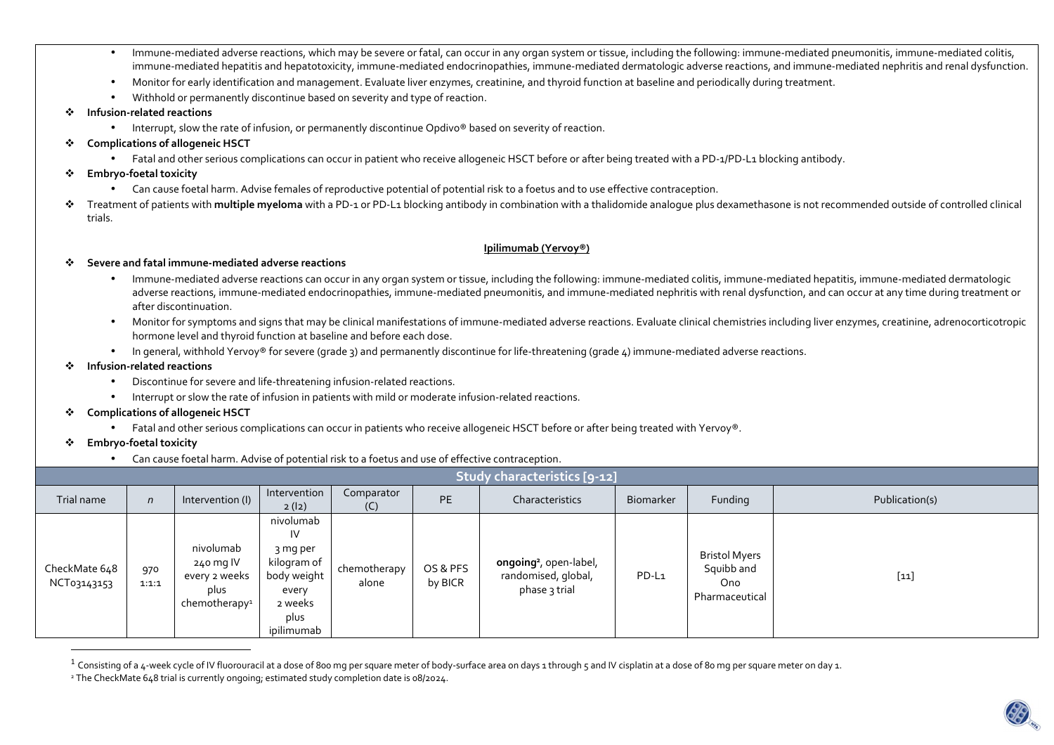- • Immune-mediated adverse reactions, which may be severe or fatal, can occur in any organ system or tissue, including the following: immune-mediated pneumonitis, immune-mediated colitis, immune-mediated hepatitis and hepatotoxicity, immune-mediated endocrinopathies, immune-mediated dermatologic adverse reactions, and immune-mediated nephritis and renal dysfunction.
- •Monitor for early identification and management. Evaluate liver enzymes, creatinine, and thyroid function at baseline and periodically during treatment.
- •Withhold or permanently discontinue based on severity and type of reaction.
- ❖ **Infusion-related reactions** 
	- $\bullet$  Interrupt, slow the rate of infusion, or permanently discontinue Opdivo® based on severity of reaction.
- ❖ **Complications of allogeneic HSCT** 
	- Fatal and other serious complications can occur in patient who receive allogeneic HSCT before or after being treated with a PD-1/PD-L1 blocking antibody.
- ❖ **Embryo-foetal toxicity** 
	- Can cause foetal harm. Advise females of reproductive potential of potential risk to a foetus and to use effective contraception.
- \* Treatment of patients with **multiple myeloma** with a PD-1 or PD-L1 blocking antibody in combination with a thalidomide analogue plus dexamethasone is not recommended outside of controlled clinical<br>trials trials.

### **Ipilimumab (Yervoy®)**

#### ❖ **Severe and fatal immune-mediated adverse reactions**

- • Immune-mediated adverse reactions can occur in any organ system or tissue, including the following: immune-mediated colitis, immune-mediated hepatitis, immune-mediated dermatologic adverse reactions, immune-mediated endocrinopathies, immune-mediated pneumonitis, and immune-mediated nephritis with renal dysfunction, and can occur at any time during treatment or after discontinuation.
- • Monitor for symptoms and signs that may be clinical manifestations of immune-mediated adverse reactions. Evaluate clinical chemistries including liver enzymes, creatinine, adrenocorticotropic hormone level and thyroid function at baseline and before each dose.
- In general, withhold Yervoy® for severe (grade 3) and permanently discontinue for life-threatening (grade 4) immune-mediated adverse reactions.
- $\bullet$  **Infusion-related reactions** 
	- •Discontinue for severe and life-threatening infusion-related reactions.
	- Interrupt or slow the rate of infusion in patients with mild or moderate infusion-related reactions.
- **Complications of allogeneic HSCT** 
	- Fatal and other serious complications can occur in patients who receive allogeneic HSCT before or after being treated with Yervoy®.
- $\mathcal{L}$  **Embryo-foetal toxicity** 
	- •Can cause foetal harm. Advise of potential risk to a foetus and use of effective contraception.

| <b>Study characteristics [9-12]</b> |              |                                                                              |                                                                                                     |                       |                     |                                                                            |           |                                                             |                |
|-------------------------------------|--------------|------------------------------------------------------------------------------|-----------------------------------------------------------------------------------------------------|-----------------------|---------------------|----------------------------------------------------------------------------|-----------|-------------------------------------------------------------|----------------|
| Trial name                          | $\mathsf{n}$ | Intervention (I)                                                             | Intervention<br>2 (12)                                                                              | Comparator<br>(C)     | <b>PE</b>           | Characteristics                                                            | Biomarker | Funding                                                     | Publication(s) |
| CheckMate 648<br>NCT03143153        | 970<br>1:1:1 | nivolumab<br>240 mg IV<br>every 2 weeks<br>plus<br>chemotherapy <sup>1</sup> | nivolumab<br>IV<br>3 mg per<br>kilogram of<br>body weight<br>every<br>2 weeks<br>plus<br>ipilimumab | chemotherapy<br>alone | OS & PFS<br>by BICR | ongoing <sup>2</sup> , open-label,<br>randomised, global,<br>phase 3 trial | PD-L1     | <b>Bristol Myers</b><br>Squibb and<br>Ono<br>Pharmaceutical | $[11]$         |

 $^1$  Consisting of a 4-week cycle of IV fluorouracil at a dose of 800 mg per square meter of body-surface area on days 1 through 5 and IV cisplatin at a dose of 80 mg per square meter on day 1. <sup>2</sup> The CheckMate 648 trial is currently ongoing; estimated study completion date is 08/2024.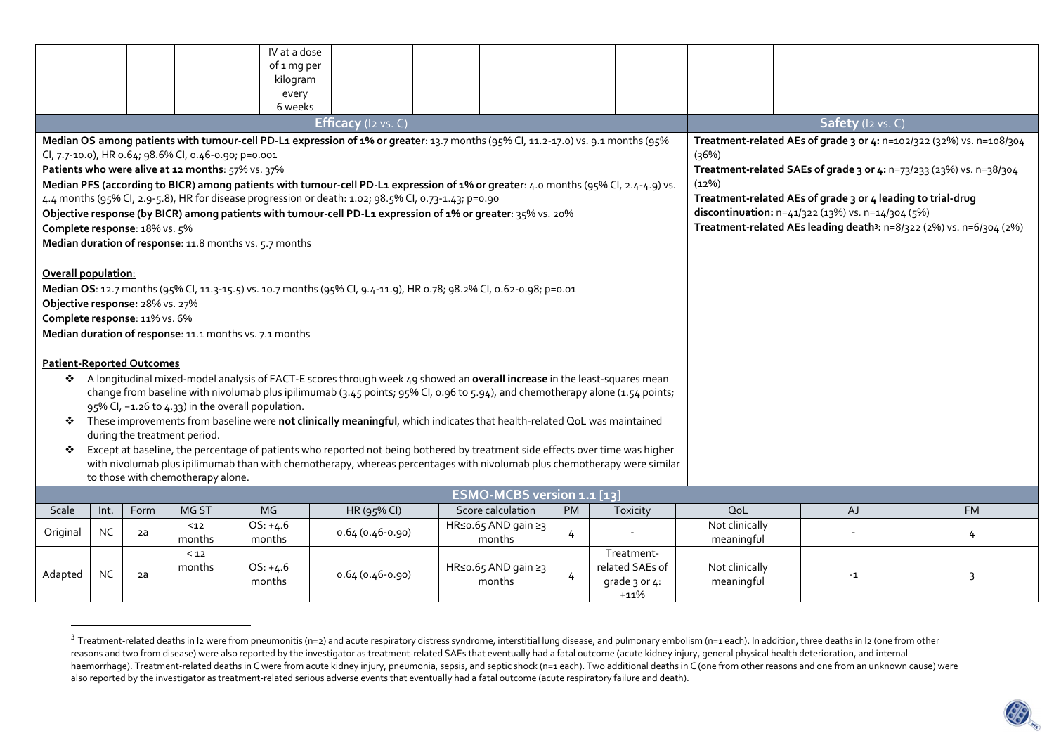|                                                                                                                                                               |                                                   |      |        | IV at a dose                                            |                                                                                                                                    |  |                     |                                                                     |                                                                      |                |                                                                                  |           |  |  |
|---------------------------------------------------------------------------------------------------------------------------------------------------------------|---------------------------------------------------|------|--------|---------------------------------------------------------|------------------------------------------------------------------------------------------------------------------------------------|--|---------------------|---------------------------------------------------------------------|----------------------------------------------------------------------|----------------|----------------------------------------------------------------------------------|-----------|--|--|
|                                                                                                                                                               |                                                   |      |        | of 1 mg per                                             |                                                                                                                                    |  |                     |                                                                     |                                                                      |                |                                                                                  |           |  |  |
|                                                                                                                                                               |                                                   |      |        | kilogram<br>every                                       |                                                                                                                                    |  |                     |                                                                     |                                                                      |                |                                                                                  |           |  |  |
|                                                                                                                                                               |                                                   |      |        | 6 weeks                                                 |                                                                                                                                    |  |                     |                                                                     |                                                                      |                |                                                                                  |           |  |  |
| Efficacy (I2 vs. C)                                                                                                                                           |                                                   |      |        |                                                         |                                                                                                                                    |  |                     |                                                                     |                                                                      |                | Safety (I2 vs. C)                                                                |           |  |  |
| Median OS among patients with tumour-cell PD-L1 expression of 1% or greater: 13.7 months (95% Cl, 11.2-17.0) vs. 9.1 months (95%                              |                                                   |      |        |                                                         |                                                                                                                                    |  |                     |                                                                     | Treatment-related AEs of grade 3 or 4: n=102/322 (32%) vs. n=108/304 |                |                                                                                  |           |  |  |
| Cl, 7.7-10.0), HR 0.64; 98.6% Cl, 0.46-0.90; p=0.001                                                                                                          |                                                   |      |        |                                                         |                                                                                                                                    |  |                     |                                                                     | (36%)                                                                |                |                                                                                  |           |  |  |
| Patients who were alive at 12 months: 57% vs. 37%                                                                                                             |                                                   |      |        |                                                         |                                                                                                                                    |  |                     | Treatment-related SAEs of grade 3 or 4: n=73/233 (23%) vs. n=38/304 |                                                                      |                |                                                                                  |           |  |  |
|                                                                                                                                                               |                                                   |      |        |                                                         | Median PFS (according to BICR) among patients with tumour-cell PD-L1 expression of 1% or greater: 4.0 months (95% Cl, 2.4-4.9) vs. |  |                     |                                                                     |                                                                      | (12%)          |                                                                                  |           |  |  |
|                                                                                                                                                               |                                                   |      |        |                                                         | 4.4 months (95% Cl, 2.9-5.8), HR for disease progression or death: 1.02; 98.5% Cl, 0.73-1.43; p=0.90                               |  |                     |                                                                     |                                                                      |                | Treatment-related AEs of grade 3 or 4 leading to trial-drug                      |           |  |  |
|                                                                                                                                                               |                                                   |      |        |                                                         | Objective response (by BICR) among patients with tumour-cell PD-L1 expression of 1% or greater: 35% vs. 20%                        |  |                     |                                                                     |                                                                      |                | discontinuation: n=41/322 (13%) vs. n=14/304 (5%)                                |           |  |  |
| Complete response: 18% vs. 5%                                                                                                                                 |                                                   |      |        |                                                         |                                                                                                                                    |  |                     |                                                                     |                                                                      |                | Treatment-related AEs leading death <sup>3</sup> : n=8/322 (2%) vs. n=6/304 (2%) |           |  |  |
|                                                                                                                                                               |                                                   |      |        | Median duration of response: 11.8 months vs. 5.7 months |                                                                                                                                    |  |                     |                                                                     |                                                                      |                |                                                                                  |           |  |  |
| Overall population:                                                                                                                                           |                                                   |      |        |                                                         |                                                                                                                                    |  |                     |                                                                     |                                                                      |                |                                                                                  |           |  |  |
|                                                                                                                                                               |                                                   |      |        |                                                         | Median OS: 12.7 months (95% Cl, 11.3-15.5) vs. 10.7 months (95% Cl, 9.4-11.9), HR 0.78; 98.2% Cl, 0.62-0.98; p=0.01                |  |                     |                                                                     |                                                                      |                |                                                                                  |           |  |  |
| Objective response: 28% vs. 27%                                                                                                                               |                                                   |      |        |                                                         |                                                                                                                                    |  |                     |                                                                     |                                                                      |                |                                                                                  |           |  |  |
| Complete response: 11% vs. 6%                                                                                                                                 |                                                   |      |        |                                                         |                                                                                                                                    |  |                     |                                                                     |                                                                      |                |                                                                                  |           |  |  |
|                                                                                                                                                               |                                                   |      |        |                                                         |                                                                                                                                    |  |                     |                                                                     |                                                                      |                |                                                                                  |           |  |  |
| Median duration of response: 11.1 months vs. 7.1 months                                                                                                       |                                                   |      |        |                                                         |                                                                                                                                    |  |                     |                                                                     |                                                                      |                |                                                                                  |           |  |  |
| <b>Patient-Reported Outcomes</b>                                                                                                                              |                                                   |      |        |                                                         |                                                                                                                                    |  |                     |                                                                     |                                                                      |                |                                                                                  |           |  |  |
|                                                                                                                                                               |                                                   |      |        |                                                         | A longitudinal mixed-model analysis of FACT-E scores through week 49 showed an overall increase in the least-squares mean          |  |                     |                                                                     |                                                                      |                |                                                                                  |           |  |  |
|                                                                                                                                                               |                                                   |      |        |                                                         | change from baseline with nivolumab plus ipilimumab (3.45 points; 95% CI, 0.96 to 5.94), and chemotherapy alone (1.54 points;      |  |                     |                                                                     |                                                                      |                |                                                                                  |           |  |  |
|                                                                                                                                                               | 95% CI, -1.26 to 4.33) in the overall population. |      |        |                                                         |                                                                                                                                    |  |                     |                                                                     |                                                                      |                |                                                                                  |           |  |  |
| These improvements from baseline were not clinically meaningful, which indicates that health-related QoL was maintained<br>❖                                  |                                                   |      |        |                                                         |                                                                                                                                    |  |                     |                                                                     |                                                                      |                |                                                                                  |           |  |  |
| during the treatment period.                                                                                                                                  |                                                   |      |        |                                                         |                                                                                                                                    |  |                     |                                                                     |                                                                      |                |                                                                                  |           |  |  |
| Except at baseline, the percentage of patients who reported not being bothered by treatment side effects over time was higher<br>❖                            |                                                   |      |        |                                                         |                                                                                                                                    |  |                     |                                                                     |                                                                      |                |                                                                                  |           |  |  |
| with nivolumab plus ipilimumab than with chemotherapy, whereas percentages with nivolumab plus chemotherapy were similar<br>to those with chemotherapy alone. |                                                   |      |        |                                                         |                                                                                                                                    |  |                     |                                                                     |                                                                      |                |                                                                                  |           |  |  |
| ESMO-MCBS version 1.1 [13]                                                                                                                                    |                                                   |      |        |                                                         |                                                                                                                                    |  |                     |                                                                     |                                                                      |                |                                                                                  |           |  |  |
| <b>Scale</b>                                                                                                                                                  | Int.                                              | Form | MG ST  | <b>MG</b>                                               | HR (95% CI)                                                                                                                        |  | Score calculation   | <b>PM</b>                                                           | Toxicity                                                             | QoL            | AJ                                                                               | <b>FM</b> |  |  |
| Original                                                                                                                                                      | <b>NC</b>                                         |      | $12$   | $OS: +4.6$                                              | 0.64 (0.46-0.90)                                                                                                                   |  | HR≤o.65 AND gain ≥3 |                                                                     |                                                                      | Not clinically | $\sim$                                                                           |           |  |  |
|                                                                                                                                                               |                                                   | 2a   | months | months                                                  |                                                                                                                                    |  | months              | 4                                                                   |                                                                      | meaningful     |                                                                                  | 4         |  |  |
|                                                                                                                                                               |                                                   |      | < 12   |                                                         |                                                                                                                                    |  |                     |                                                                     | Treatment-                                                           |                |                                                                                  |           |  |  |
| Adapted                                                                                                                                                       | <b>NC</b>                                         | 2a   | months | $OS: +4.6$                                              | 0.64 (0.46-0.90)                                                                                                                   |  | HR≤o.65 AND gain ≥3 | 4                                                                   | related SAEs of                                                      | Not clinically | $-1$                                                                             | 3         |  |  |
|                                                                                                                                                               |                                                   |      |        | months                                                  |                                                                                                                                    |  | months              |                                                                     | grade 3 or 4:<br>$+11%$                                              | meaningful     |                                                                                  |           |  |  |

 $^3$  Treatment-related deaths in I2 were from pneumonitis (n=2) and acute respiratory distress syndrome, interstitial lung disease, and pulmonary embolism (n=1 each). In addition, three deaths in I2 (one from other reasons and two from disease) were also reported by the investigator as treatment-related SAEs that eventually had a fatal outcome (acute kidney injury, general physical health deterioration, and internal haemorrhage). Treatment-related deaths in C were from acute kidney injury, pneumonia, sepsis, and septic shock (n=1 each). Two additional deaths in C (one from other reasons and one from an unknown cause) were also reported by the investigator as treatment-related serious adverse events that eventually had a fatal outcome (acute respiratory failure and death).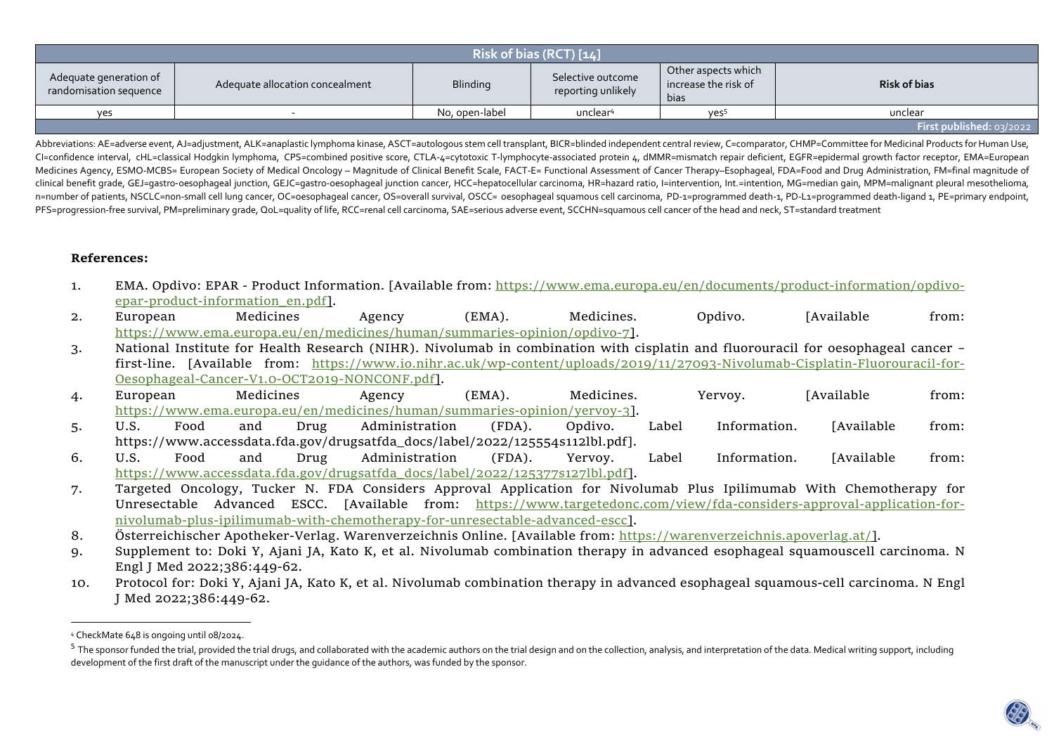| Risk of bias (RCT) [14]                          |                                 |                 |                                         |                                                     |                     |  |  |  |  |
|--------------------------------------------------|---------------------------------|-----------------|-----------------------------------------|-----------------------------------------------------|---------------------|--|--|--|--|
| Adequate generation of<br>randomisation sequence | Adequate allocation concealment | <b>Blinding</b> | Selective outcome<br>reporting unlikely | Other aspects which<br>increase the risk of<br>bias | <b>Risk of bias</b> |  |  |  |  |
| yes                                              |                                 | No, open-label  | unclear <sup>4</sup>                    | yes <sup>5</sup>                                    | unclear             |  |  |  |  |
| First published: $03/2022$                       |                                 |                 |                                         |                                                     |                     |  |  |  |  |

Abbreviations: AE=adverse event, AJ=adjustment, ALK=anaplastic lymphoma kinase, ASCT=autologous stem cell transplant, BICR=blinded independent central review, C=comparator, CHMP=Committee for Medicinal Products for Human U CI=confidence interval, cHL=classical Hodgkin lymphoma, CPS=combined positive score, CTLA-4=cytotoxic T-lymphocyte-associated protein 4, dMMR=mismatch repair deficient, EGFR=epidermal growth factor receptor, EMA=European Medicines Agency, ESMO-MCBS= European Society of Medical Oncology – Magnitude of Clinical Benefit Scale, FACT-E= Functional Assessment of Cancer Therapy–Esophageal, FDA=Food and Drug Administration, FM=final magnitude of clinical benefit grade, GEJ=gastro-oesophageal junction, GEJC=gastro-oesophageal junction cancer, HCC=hepatocellular carcinoma, HR=hazard ratio, l=intervention, Int.=intention, MG=median gain, MPM=malignant pleural mesothe n=number of patients, NSCLC=non-small cell lung cancer, OC=oesophageal cancer, OS=overall survival, OSCC= oesophageal squamous cell carcinoma, PD-1=programmed death-1, PD-L1=programmed death-ligand 1, PE=primary endpoint, PFS=progression-free survival, PM=preliminary grade, QoL=quality of life, RCC=renal cell carcinoma, SAE=serious adverse event, SCCHN=squamous cell cancer of the head and neck, ST=standard treatment

## **References:**

- 1. EMA. Opdivo: EPAR Product Information. [Available from: https://www.ema.europa.eu/en/documents/product-information/opdivoepar-product-information\_en.pdf].
- 2. European Medicines Agency (EMA). Medicines. Opdivo. [Available from: https://www.ema.europa.eu/en/medicines/human/summaries-opinion/opdivo-7].
- 3. National Institute for Health Research (NIHR). Nivolumab in combination with cisplatin and fluorouracil for oesophageal cancer first-line. [Available from: <u>https://www.io.nihr.ac.uk/wp-content/uploads/2019/11/27093-Nivolumab-Cisplatin-Fluorouracil-for-</u> Oesophageal-Cancer-V1.0-OCT2019-NONCONF.pdf].
- 4. European Medicines Agency (EMA). Medicines. Yervoy. [Available from: https://www.ema.europa.eu/en/medicines/human/summaries-opinion/yervoy-3].
- 5. U.S. Food and Drug Administration (FDA). Opdivo. Label Information. [Available from: https://www.accessdata.fda.gov/drugsatfda\_docs/label/2022/125554s112lbl.pdf].
- 6. U.S. Food and Drug Administration (FDA). Yervoy. Label Information. [Available from: https://www.accessdata.fda.gov/drugsatfda\_docs/label/2022/125377s127lbl.pdf].
- 7. Targeted Oncology, Tucker N. FDA Considers Approval Application for Nivolumab Plus Ipilimumab With Chemotherapy for Unresectable Advanced ESCC. [Available from: <u>https://www.targetedonc.com/view/fda-considers-approval-application-for-</u> nivolumab-plus-ipilimumab-with-chemotherapy-for-unresectable-advanced-escc].
- 8. Österreichischer Apotheker-Verlag. Warenverzeichnis Online. [Available from: <u>https://warenverzeichnis.apoverlag.at/]</u>.
- 9. Supplement to: Doki Y, Ajani JA, Kato K, et al. Nivolumab combination therapy in advanced esophageal squamouscell carcinoma. N Engl J Med 2022;386:449-62.
- 10. Protocol for: Doki Y, Ajani JA, Kato K, et al. Nivolumab combination therapy in advanced esophageal squamous-cell carcinoma. N Engl J Med 2022;386:449-62.

<sup>4</sup> CheckMate 648 is ongoing until 08/2024.

 $^5$  The sponsor funded the trial, provided the trial drugs, and collaborated with the academic authors on the trial design and on the collection, analysis, and interpretation of the data. Medical writing support, includi development of the first draft of the manuscript under the guidance of the authors, was funded by the sponsor.